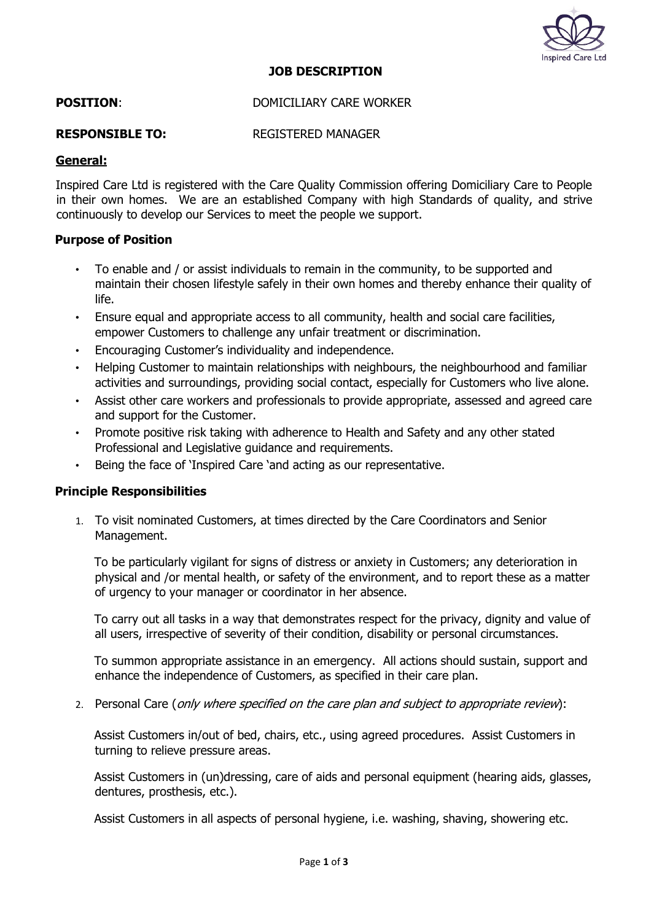

## **JOB DESCRIPTION**

## **POSITION:** DOMICILIARY CARE WORKER

## **RESPONSIBLE TO:** REGISTERED MANAGER

## **General:**

Inspired Care Ltd is registered with the Care Quality Commission offering Domiciliary Care to People in their own homes. We are an established Company with high Standards of quality, and strive continuously to develop our Services to meet the people we support.

#### **Purpose of Position**

- To enable and / or assist individuals to remain in the community, to be supported and maintain their chosen lifestyle safely in their own homes and thereby enhance their quality of life.
- Ensure equal and appropriate access to all community, health and social care facilities, empower Customers to challenge any unfair treatment or discrimination.
- Encouraging Customer's individuality and independence.
- Helping Customer to maintain relationships with neighbours, the neighbourhood and familiar activities and surroundings, providing social contact, especially for Customers who live alone.
- Assist other care workers and professionals to provide appropriate, assessed and agreed care and support for the Customer.
- Promote positive risk taking with adherence to Health and Safety and any other stated Professional and Legislative guidance and requirements.
- Being the face of 'Inspired Care 'and acting as our representative.

#### **Principle Responsibilities**

1. To visit nominated Customers, at times directed by the Care Coordinators and Senior Management.

To be particularly vigilant for signs of distress or anxiety in Customers; any deterioration in physical and /or mental health, or safety of the environment, and to report these as a matter of urgency to your manager or coordinator in her absence.

To carry out all tasks in a way that demonstrates respect for the privacy, dignity and value of all users, irrespective of severity of their condition, disability or personal circumstances.

To summon appropriate assistance in an emergency. All actions should sustain, support and enhance the independence of Customers, as specified in their care plan.

2. Personal Care (*only where specified on the care plan and subject to appropriate review*):

Assist Customers in/out of bed, chairs, etc., using agreed procedures. Assist Customers in turning to relieve pressure areas.

Assist Customers in (un)dressing, care of aids and personal equipment (hearing aids, glasses, dentures, prosthesis, etc.).

Assist Customers in all aspects of personal hygiene, i.e. washing, shaving, showering etc.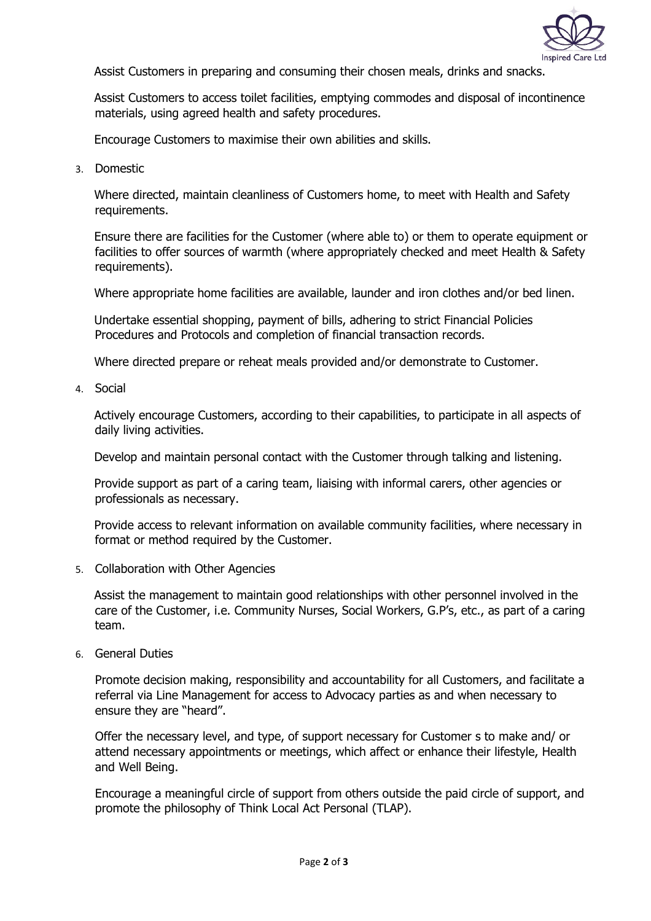

Assist Customers in preparing and consuming their chosen meals, drinks and snacks.

Assist Customers to access toilet facilities, emptying commodes and disposal of incontinence materials, using agreed health and safety procedures.

Encourage Customers to maximise their own abilities and skills.

3. Domestic

Where directed, maintain cleanliness of Customers home, to meet with Health and Safety requirements.

Ensure there are facilities for the Customer (where able to) or them to operate equipment or facilities to offer sources of warmth (where appropriately checked and meet Health & Safety requirements).

Where appropriate home facilities are available, launder and iron clothes and/or bed linen.

Undertake essential shopping, payment of bills, adhering to strict Financial Policies Procedures and Protocols and completion of financial transaction records.

Where directed prepare or reheat meals provided and/or demonstrate to Customer.

4. Social

Actively encourage Customers, according to their capabilities, to participate in all aspects of daily living activities.

Develop and maintain personal contact with the Customer through talking and listening.

Provide support as part of a caring team, liaising with informal carers, other agencies or professionals as necessary.

Provide access to relevant information on available community facilities, where necessary in format or method required by the Customer.

5. Collaboration with Other Agencies

Assist the management to maintain good relationships with other personnel involved in the care of the Customer, i.e. Community Nurses, Social Workers, G.P's, etc., as part of a caring team.

6. General Duties

Promote decision making, responsibility and accountability for all Customers, and facilitate a referral via Line Management for access to Advocacy parties as and when necessary to ensure they are "heard".

Offer the necessary level, and type, of support necessary for Customer s to make and/ or attend necessary appointments or meetings, which affect or enhance their lifestyle, Health and Well Being.

Encourage a meaningful circle of support from others outside the paid circle of support, and promote the philosophy of Think Local Act Personal (TLAP).